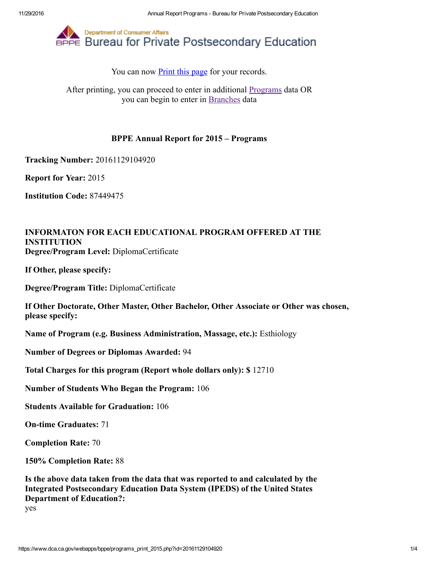

You can now **Print this page** for your records.

After printing, you can proceed to enter in additional [Programs](https://www.dca.ca.gov/webapps/bppe/report_programs_2015.php) data OR you can begin to enter in [Branches](https://www.dca.ca.gov/webapps/bppe/report_branches_2015.php) data

## BPPE Annual Report for 2015 – Programs

Tracking Number: 20161129104920

Report for Year: 2015

Institution Code: 87449475

## INFORMATON FOR EACH EDUCATIONAL PROGRAM OFFERED AT THE INSTITUTION Degree/Program Level: DiplomaCertificate

If Other, please specify:

Degree/Program Title: DiplomaCertificate

If Other Doctorate, Other Master, Other Bachelor, Other Associate or Other was chosen, please specify:

Name of Program (e.g. Business Administration, Massage, etc.): Esthiology

Number of Degrees or Diplomas Awarded: 94

Total Charges for this program (Report whole dollars only): \$ 12710

Number of Students Who Began the Program: 106

Students Available for Graduation: 106

**On-time Graduates: 71** 

Completion Rate: 70

150% Completion Rate: 88

Is the above data taken from the data that was reported to and calculated by the Integrated Postsecondary Education Data System (IPEDS) of the United States Department of Education?:

yes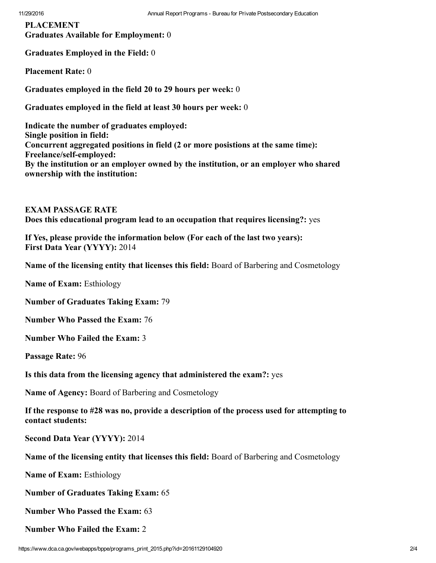PLACEMENT Graduates Available for Employment: 0

Graduates Employed in the Field: 0

Placement Rate: 0

Graduates employed in the field 20 to 29 hours per week: 0

Graduates employed in the field at least 30 hours per week: 0

Indicate the number of graduates employed: Single position in field: Concurrent aggregated positions in field (2 or more posistions at the same time): Freelance/self-employed: By the institution or an employer owned by the institution, or an employer who shared ownership with the institution:

EXAM PASSAGE RATE Does this educational program lead to an occupation that requires licensing?: yes

If Yes, please provide the information below (For each of the last two years): First Data Year (YYYY): 2014

Name of the licensing entity that licenses this field: Board of Barbering and Cosmetology

Name of Exam: Esthiology

Number of Graduates Taking Exam: 79

Number Who Passed the Exam: 76

Number Who Failed the Exam: 3

Passage Rate: 96

Is this data from the licensing agency that administered the exam?: yes

Name of Agency: Board of Barbering and Cosmetology

If the response to #28 was no, provide a description of the process used for attempting to contact students:

Second Data Year (YYYY): 2014

Name of the licensing entity that licenses this field: Board of Barbering and Cosmetology

Name of Exam: Esthiology

Number of Graduates Taking Exam: 65

Number Who Passed the Exam: 63

Number Who Failed the Exam: 2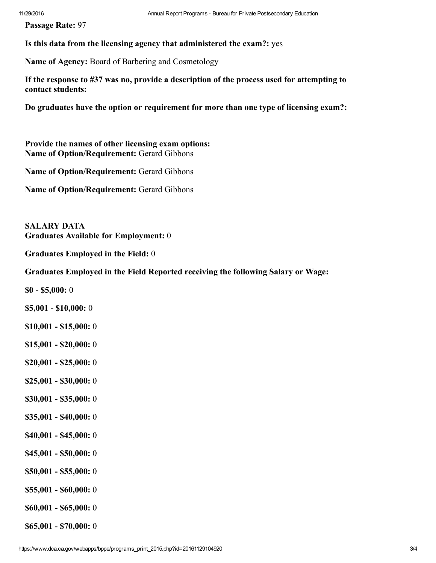Passage Rate: 97

Is this data from the licensing agency that administered the exam?: yes

Name of Agency: Board of Barbering and Cosmetology

If the response to #37 was no, provide a description of the process used for attempting to contact students:

Do graduates have the option or requirement for more than one type of licensing exam?:

Provide the names of other licensing exam options: Name of Option/Requirement: Gerard Gibbons

Name of Option/Requirement: Gerard Gibbons

Name of Option/Requirement: Gerard Gibbons

SALARY DATA Graduates Available for Employment: 0

Graduates Employed in the Field: 0

Graduates Employed in the Field Reported receiving the following Salary or Wage:

 $$0 - $5,000:0$ 

- $$5,001 $10,000:0$
- $$10,001 $15,000:0$
- $$15,001 $20,000:0$
- $$20,001 $25,000:0$
- $$25,001 $30,000:0$
- $$30,001 $35,000:0$
- $$35,001 $40,000:0$
- $$40,001 $45,000:0$
- $$45,001 $50,000:0$
- $$50,001 $55,000:0$
- $$55,001 $60,000:0$
- $$60,001 $65,000:0$

 $$65,001 - $70,000:0$